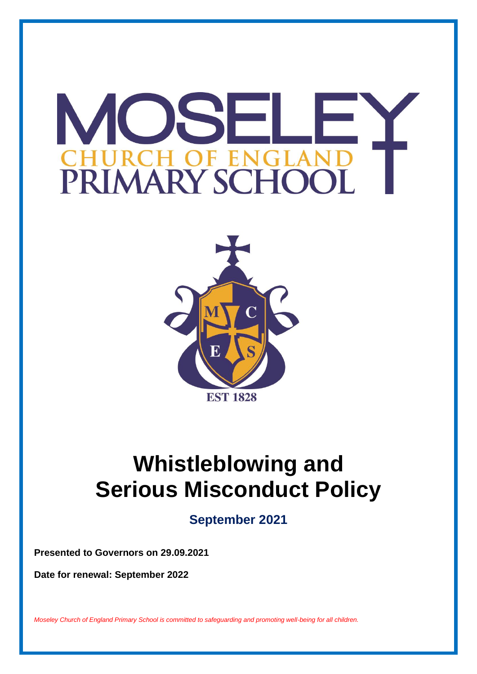# M JS SH-F EN PRIMARY SCHOC



# **Whistleblowing and Serious Misconduct Policy**

**September 2021**

**Presented to Governors on 29.09.2021**

**Date for renewal: September 2022**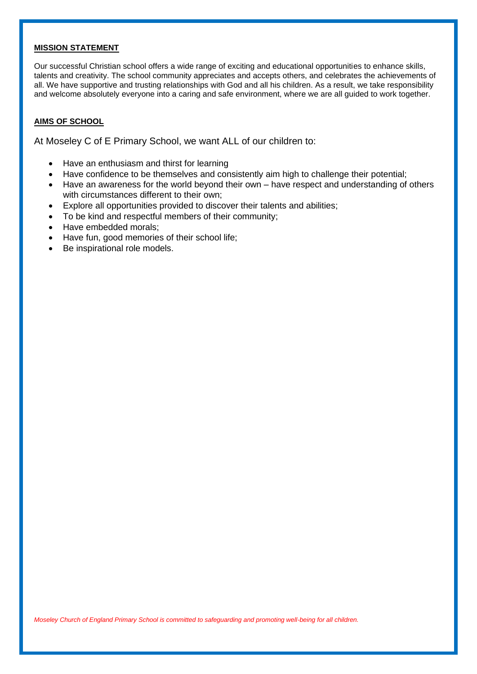#### **MISSION STATEMENT**

Our successful Christian school offers a wide range of exciting and educational opportunities to enhance skills, talents and creativity. The school community appreciates and accepts others, and celebrates the achievements of all. We have supportive and trusting relationships with God and all his children. As a result, we take responsibility and welcome absolutely everyone into a caring and safe environment, where we are all guided to work together.

#### **AIMS OF SCHOOL**

At Moseley C of E Primary School, we want ALL of our children to:

- Have an enthusiasm and thirst for learning
- Have confidence to be themselves and consistently aim high to challenge their potential;
- Have an awareness for the world beyond their own have respect and understanding of others with circumstances different to their own;
- Explore all opportunities provided to discover their talents and abilities;
- To be kind and respectful members of their community:
- Have embedded morals;
- Have fun, good memories of their school life;
- Be inspirational role models.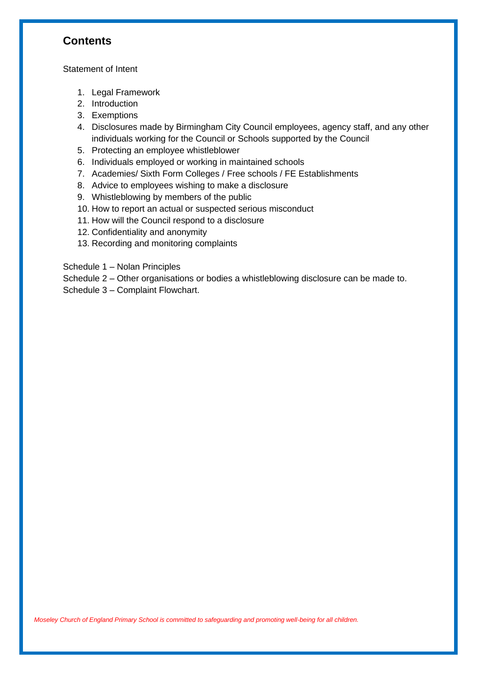# **Contents**

Statement of Intent

- 1. Legal Framework
- 2. Introduction
- 3. Exemptions
- 4. Disclosures made by Birmingham City Council employees, agency staff, and any other individuals working for the Council or Schools supported by the Council
- 5. Protecting an employee whistleblower
- 6. Individuals employed or working in maintained schools
- 7. Academies/ Sixth Form Colleges / Free schools / FE Establishments
- 8. Advice to employees wishing to make a disclosure
- 9. Whistleblowing by members of the public
- 10. How to report an actual or suspected serious misconduct
- 11. How will the Council respond to a disclosure
- 12. Confidentiality and anonymity
- 13. Recording and monitoring complaints

Schedule 1 – Nolan Principles

Schedule 2 – Other organisations or bodies a whistleblowing disclosure can be made to.

Schedule 3 – Complaint Flowchart.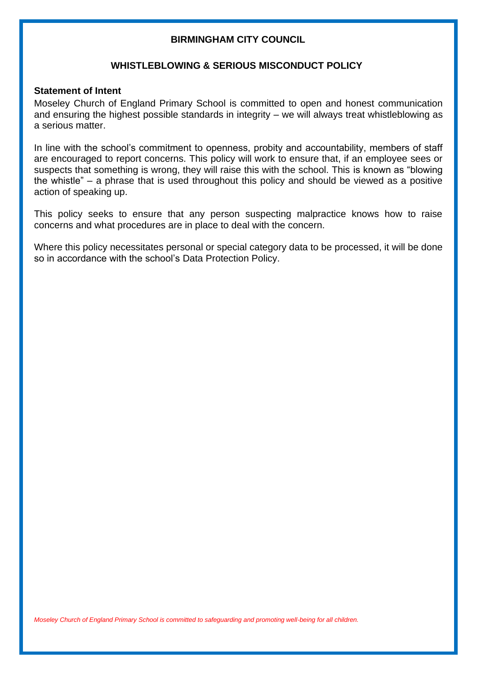## **BIRMINGHAM CITY COUNCIL**

#### **WHISTLEBLOWING & SERIOUS MISCONDUCT POLICY**

#### **Statement of Intent**

Moseley Church of England Primary School is committed to open and honest communication and ensuring the highest possible standards in integrity – we will always treat whistleblowing as a serious matter.

In line with the school's commitment to openness, probity and accountability, members of staff are encouraged to report concerns. This policy will work to ensure that, if an employee sees or suspects that something is wrong, they will raise this with the school. This is known as "blowing the whistle" – a phrase that is used throughout this policy and should be viewed as a positive action of speaking up.

This policy seeks to ensure that any person suspecting malpractice knows how to raise concerns and what procedures are in place to deal with the concern.

Where this policy necessitates personal or special category data to be processed, it will be done so in accordance with the school's Data Protection Policy.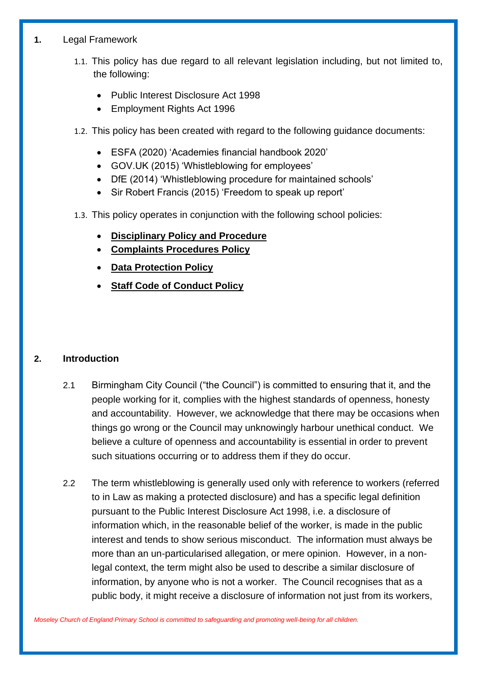## **1.** Legal Framework

- 1.1. This policy has due regard to all relevant legislation including, but not limited to, the following:
	- Public Interest Disclosure Act 1998
	- Employment Rights Act 1996
- 1.2. This policy has been created with regard to the following guidance documents:
	- ESFA (2020) 'Academies financial handbook 2020'
	- GOV.UK (2015) 'Whistleblowing for employees'
	- DfE (2014) 'Whistleblowing procedure for maintained schools'
	- Sir Robert Francis (2015) 'Freedom to speak up report'
- 1.3. This policy operates in conjunction with the following school policies:
	- **Disciplinary Policy and Procedure**
	- **Complaints Procedures Policy**
	- **Data Protection Policy**
	- **Staff Code of Conduct Policy**

## **2. Introduction**

- 2.1 Birmingham City Council ("the Council") is committed to ensuring that it, and the people working for it, complies with the highest standards of openness, honesty and accountability. However, we acknowledge that there may be occasions when things go wrong or the Council may unknowingly harbour unethical conduct. We believe a culture of openness and accountability is essential in order to prevent such situations occurring or to address them if they do occur.
- 2.2 The term whistleblowing is generally used only with reference to workers (referred to in Law as making a protected disclosure) and has a specific legal definition pursuant to the Public Interest Disclosure Act 1998, i.e. a disclosure of information which, in the reasonable belief of the worker, is made in the public interest and tends to show serious misconduct. The information must always be more than an un-particularised allegation, or mere opinion. However, in a nonlegal context, the term might also be used to describe a similar disclosure of information, by anyone who is not a worker. The Council recognises that as a public body, it might receive a disclosure of information not just from its workers,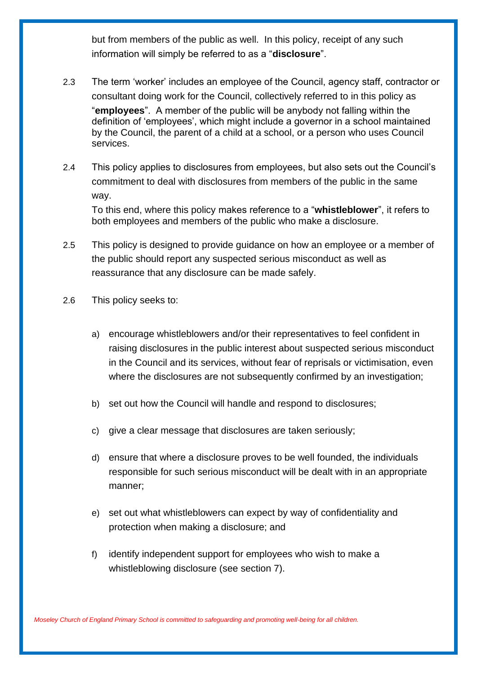but from members of the public as well. In this policy, receipt of any such information will simply be referred to as a "**disclosure**".

- 2.3 The term 'worker' includes an employee of the Council, agency staff, contractor or consultant doing work for the Council, collectively referred to in this policy as "**employees**". A member of the public will be anybody not falling within the definition of 'employees', which might include a governor in a school maintained by the Council, the parent of a child at a school, or a person who uses Council services.
- 2.4 This policy applies to disclosures from employees, but also sets out the Council's commitment to deal with disclosures from members of the public in the same way. To this end, where this policy makes reference to a "**whistleblower**", it refers to

both employees and members of the public who make a disclosure.

- 2.5 This policy is designed to provide guidance on how an employee or a member of the public should report any suspected serious misconduct as well as reassurance that any disclosure can be made safely.
- 2.6 This policy seeks to:
	- a) encourage whistleblowers and/or their representatives to feel confident in raising disclosures in the public interest about suspected serious misconduct in the Council and its services, without fear of reprisals or victimisation, even where the disclosures are not subsequently confirmed by an investigation;
	- b) set out how the Council will handle and respond to disclosures;
	- c) give a clear message that disclosures are taken seriously;
	- d) ensure that where a disclosure proves to be well founded, the individuals responsible for such serious misconduct will be dealt with in an appropriate manner;
	- e) set out what whistleblowers can expect by way of confidentiality and protection when making a disclosure; and
	- f) identify independent support for employees who wish to make a whistleblowing disclosure (see section 7).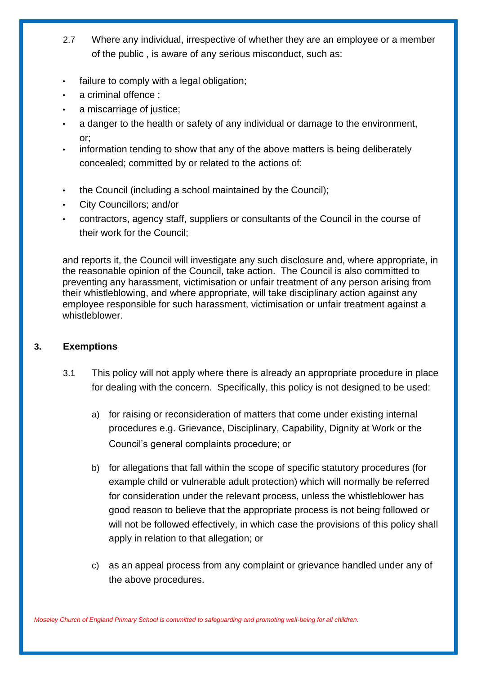- 2.7 Where any individual, irrespective of whether they are an employee or a member of the public , is aware of any serious misconduct, such as:
- failure to comply with a legal obligation;
- a criminal offence :
- a miscarriage of justice;
- a danger to the health or safety of any individual or damage to the environment, or;
- information tending to show that any of the above matters is being deliberately concealed; committed by or related to the actions of:
- the Council (including a school maintained by the Council);
- City Councillors; and/or
- contractors, agency staff, suppliers or consultants of the Council in the course of their work for the Council;

and reports it, the Council will investigate any such disclosure and, where appropriate, in the reasonable opinion of the Council, take action. The Council is also committed to preventing any harassment, victimisation or unfair treatment of any person arising from their whistleblowing, and where appropriate, will take disciplinary action against any employee responsible for such harassment, victimisation or unfair treatment against a whistleblower.

## **3. Exemptions**

- 3.1 This policy will not apply where there is already an appropriate procedure in place for dealing with the concern. Specifically, this policy is not designed to be used:
	- a) for raising or reconsideration of matters that come under existing internal procedures e.g. Grievance, Disciplinary, Capability, Dignity at Work or the Council's general complaints procedure; or
	- b) for allegations that fall within the scope of specific statutory procedures (for example child or vulnerable adult protection) which will normally be referred for consideration under the relevant process, unless the whistleblower has good reason to believe that the appropriate process is not being followed or will not be followed effectively, in which case the provisions of this policy shall apply in relation to that allegation; or
	- c) as an appeal process from any complaint or grievance handled under any of the above procedures.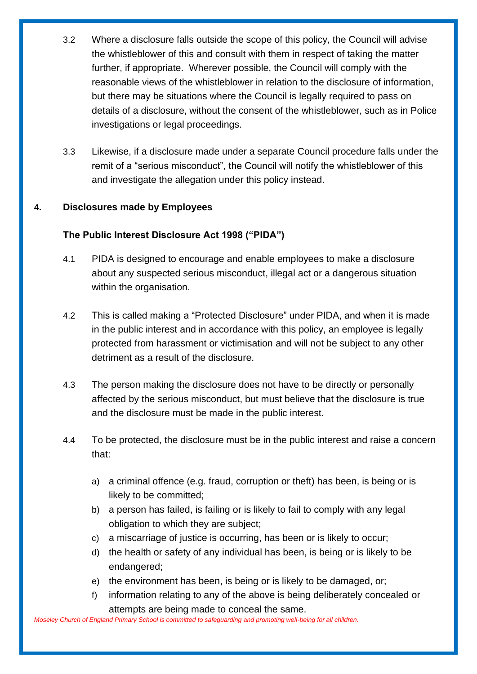- 3.2 Where a disclosure falls outside the scope of this policy, the Council will advise the whistleblower of this and consult with them in respect of taking the matter further, if appropriate. Wherever possible, the Council will comply with the reasonable views of the whistleblower in relation to the disclosure of information, but there may be situations where the Council is legally required to pass on details of a disclosure, without the consent of the whistleblower, such as in Police investigations or legal proceedings.
- 3.3 Likewise, if a disclosure made under a separate Council procedure falls under the remit of a "serious misconduct", the Council will notify the whistleblower of this and investigate the allegation under this policy instead.

## **4. Disclosures made by Employees**

## **The Public Interest Disclosure Act 1998 ("PIDA")**

- 4.1 PIDA is designed to encourage and enable employees to make a disclosure about any suspected serious misconduct, illegal act or a dangerous situation within the organisation.
- 4.2 This is called making a "Protected Disclosure" under PIDA, and when it is made in the public interest and in accordance with this policy, an employee is legally protected from harassment or victimisation and will not be subject to any other detriment as a result of the disclosure.
- 4.3 The person making the disclosure does not have to be directly or personally affected by the serious misconduct, but must believe that the disclosure is true and the disclosure must be made in the public interest.
- 4.4 To be protected, the disclosure must be in the public interest and raise a concern that:
	- a) a criminal offence (e.g. fraud, corruption or theft) has been, is being or is likely to be committed;
	- b) a person has failed, is failing or is likely to fail to comply with any legal obligation to which they are subject;
	- c) a miscarriage of justice is occurring, has been or is likely to occur;
	- d) the health or safety of any individual has been, is being or is likely to be endangered;
	- e) the environment has been, is being or is likely to be damaged, or;
	- f) information relating to any of the above is being deliberately concealed or attempts are being made to conceal the same.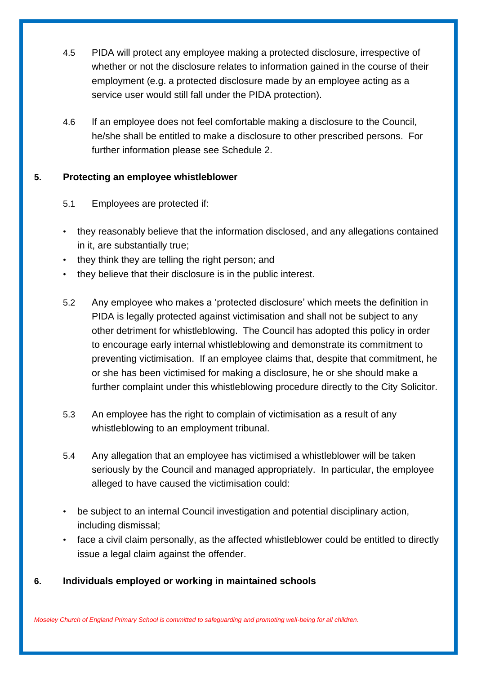- 4.5 PIDA will protect any employee making a protected disclosure, irrespective of whether or not the disclosure relates to information gained in the course of their employment (e.g. a protected disclosure made by an employee acting as a service user would still fall under the PIDA protection).
- 4.6 If an employee does not feel comfortable making a disclosure to the Council, he/she shall be entitled to make a disclosure to other prescribed persons. For further information please see Schedule 2.

## **5. Protecting an employee whistleblower**

## 5.1 Employees are protected if:

- they reasonably believe that the information disclosed, and any allegations contained in it, are substantially true;
- they think they are telling the right person; and
- they believe that their disclosure is in the public interest.
- 5.2 Any employee who makes a 'protected disclosure' which meets the definition in PIDA is legally protected against victimisation and shall not be subject to any other detriment for whistleblowing. The Council has adopted this policy in order to encourage early internal whistleblowing and demonstrate its commitment to preventing victimisation. If an employee claims that, despite that commitment, he or she has been victimised for making a disclosure, he or she should make a further complaint under this whistleblowing procedure directly to the City Solicitor.
- 5.3 An employee has the right to complain of victimisation as a result of any whistleblowing to an employment tribunal.
- 5.4 Any allegation that an employee has victimised a whistleblower will be taken seriously by the Council and managed appropriately. In particular, the employee alleged to have caused the victimisation could:
- be subject to an internal Council investigation and potential disciplinary action, including dismissal;
- face a civil claim personally, as the affected whistleblower could be entitled to directly issue a legal claim against the offender.

## **6. Individuals employed or working in maintained schools**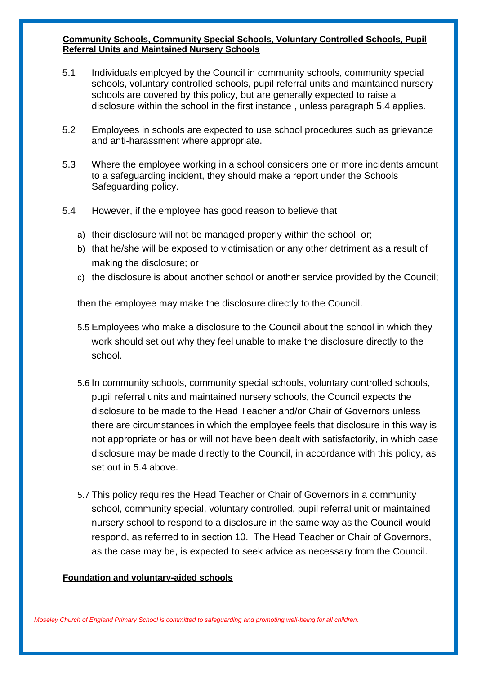#### **Community Schools, Community Special Schools, Voluntary Controlled Schools, Pupil Referral Units and Maintained Nursery Schools**

- 5.1 Individuals employed by the Council in community schools, community special schools, voluntary controlled schools, pupil referral units and maintained nursery schools are covered by this policy, but are generally expected to raise a disclosure within the school in the first instance , unless paragraph 5.4 applies.
- 5.2 Employees in schools are expected to use school procedures such as grievance and anti-harassment where appropriate.
- 5.3 Where the employee working in a school considers one or more incidents amount to a safeguarding incident, they should make a report under the Schools Safeguarding policy.
- 5.4 However, if the employee has good reason to believe that
	- a) their disclosure will not be managed properly within the school, or;
	- b) that he/she will be exposed to victimisation or any other detriment as a result of making the disclosure; or
	- c) the disclosure is about another school or another service provided by the Council;

then the employee may make the disclosure directly to the Council.

- 5.5 Employees who make a disclosure to the Council about the school in which they work should set out why they feel unable to make the disclosure directly to the school.
- 5.6 In community schools, community special schools, voluntary controlled schools, pupil referral units and maintained nursery schools, the Council expects the disclosure to be made to the Head Teacher and/or Chair of Governors unless there are circumstances in which the employee feels that disclosure in this way is not appropriate or has or will not have been dealt with satisfactorily, in which case disclosure may be made directly to the Council, in accordance with this policy, as set out in 5.4 above.
- 5.7 This policy requires the Head Teacher or Chair of Governors in a community school, community special, voluntary controlled, pupil referral unit or maintained nursery school to respond to a disclosure in the same way as the Council would respond, as referred to in section 10. The Head Teacher or Chair of Governors, as the case may be, is expected to seek advice as necessary from the Council.

#### **Foundation and voluntary-aided schools**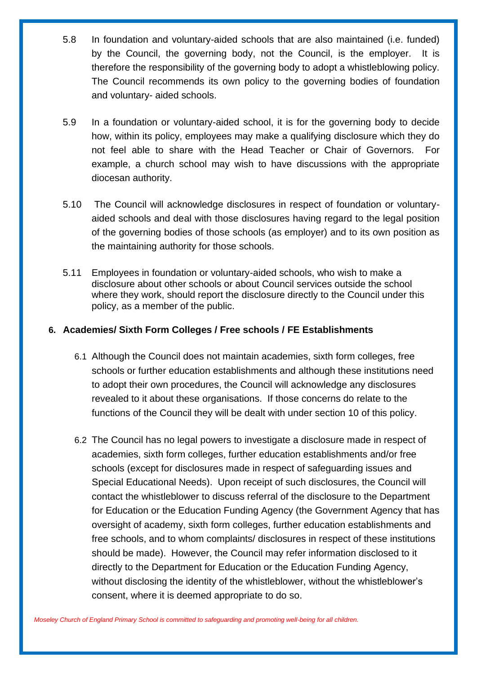- 5.8 In foundation and voluntary-aided schools that are also maintained (i.e. funded) by the Council, the governing body, not the Council, is the employer. It is therefore the responsibility of the governing body to adopt a whistleblowing policy. The Council recommends its own policy to the governing bodies of foundation and voluntary- aided schools.
- 5.9 In a foundation or voluntary-aided school, it is for the governing body to decide how, within its policy, employees may make a qualifying disclosure which they do not feel able to share with the Head Teacher or Chair of Governors. For example, a church school may wish to have discussions with the appropriate diocesan authority.
- 5.10 The Council will acknowledge disclosures in respect of foundation or voluntaryaided schools and deal with those disclosures having regard to the legal position of the governing bodies of those schools (as employer) and to its own position as the maintaining authority for those schools.
- 5.11 Employees in foundation or voluntary-aided schools, who wish to make a disclosure about other schools or about Council services outside the school where they work, should report the disclosure directly to the Council under this policy, as a member of the public.

## **6. Academies/ Sixth Form Colleges / Free schools / FE Establishments**

- 6.1 Although the Council does not maintain academies, sixth form colleges, free schools or further education establishments and although these institutions need to adopt their own procedures, the Council will acknowledge any disclosures revealed to it about these organisations. If those concerns do relate to the functions of the Council they will be dealt with under section 10 of this policy.
- 6.2 The Council has no legal powers to investigate a disclosure made in respect of academies, sixth form colleges, further education establishments and/or free schools (except for disclosures made in respect of safeguarding issues and Special Educational Needs). Upon receipt of such disclosures, the Council will contact the whistleblower to discuss referral of the disclosure to the Department for Education or the Education Funding Agency (the Government Agency that has oversight of academy, sixth form colleges, further education establishments and free schools, and to whom complaints/ disclosures in respect of these institutions should be made). However, the Council may refer information disclosed to it directly to the Department for Education or the Education Funding Agency, without disclosing the identity of the whistleblower, without the whistleblower's consent, where it is deemed appropriate to do so.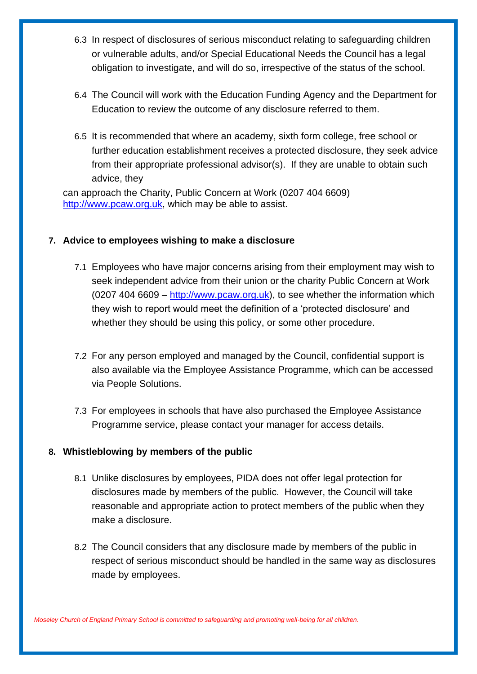- 6.3 In respect of disclosures of serious misconduct relating to safeguarding children or vulnerable adults, and/or Special Educational Needs the Council has a legal obligation to investigate, and will do so, irrespective of the status of the school.
- 6.4 The Council will work with the Education Funding Agency and the Department for Education to review the outcome of any disclosure referred to them.
- 6.5 It is recommended that where an academy, sixth form college, free school or further education establishment receives a protected disclosure, they seek advice from their appropriate professional advisor(s). If they are unable to obtain such advice, they

can approach the Charity, Public Concern at Work (0207 404 6609) [http://www.pcaw.org.uk,](http://www.pcaw.org.uk/) which may be able to assist.

## **7. Advice to employees wishing to make a disclosure**

- 7.1 Employees who have major concerns arising from their employment may wish to seek independent advice from their union or the charity Public Concern at Work (0207 404 6609 [–](http://www.pcaw.org.uk/) [http://www.pcaw.org.uk\),](http://www.pcaw.org.uk/) to see whether the information which they wish to report would meet the definition of a 'protected disclosure' and whether they should be using this policy, or some other procedure.
- 7.2 For any person employed and managed by the Council, confidential support is also available via the Employee Assistance Programme, which can be accessed via People Solutions.
- 7.3 For employees in schools that have also purchased the Employee Assistance Programme service, please contact your manager for access details.

## **8. Whistleblowing by members of the public**

- 8.1 Unlike disclosures by employees, PIDA does not offer legal protection for disclosures made by members of the public. However, the Council will take reasonable and appropriate action to protect members of the public when they make a disclosure.
- 8.2 The Council considers that any disclosure made by members of the public in respect of serious misconduct should be handled in the same way as disclosures made by employees.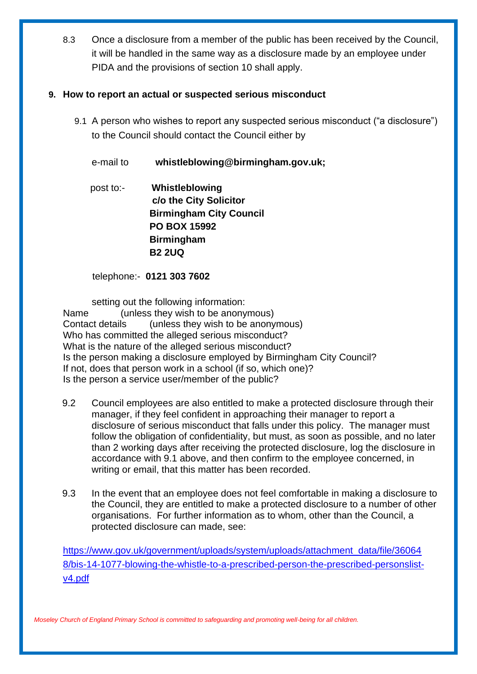8.3 Once a disclosure from a member of the public has been received by the Council, it will be handled in the same way as a disclosure made by an employee under PIDA and the provisions of section 10 shall apply.

## **9. How to report an actual or suspected serious misconduct**

9.1 A person who wishes to report any suspected serious misconduct ("a disclosure") to the Council should contact the Council either by

e-mail to **whistleblowing@birmingham.gov.uk;**

 post to:- **Whistleblowing c/o the City Solicitor Birmingham City Council PO BOX 15992 Birmingham B2 2UQ** 

telephone:- **0121 303 7602**

setting out the following information:

 Name (unless they wish to be anonymous) Contact details (unless they wish to be anonymous) Who has committed the alleged serious misconduct? What is the nature of the alleged serious misconduct? Is the person making a disclosure employed by Birmingham City Council? If not, does that person work in a school (if so, which one)? Is the person a service user/member of the public?

- 9.2 Council employees are also entitled to make a protected disclosure through their manager, if they feel confident in approaching their manager to report a disclosure of serious misconduct that falls under this policy. The manager must follow the obligation of confidentiality, but must, as soon as possible, and no later than 2 working days after receiving the protected disclosure, log the disclosure in accordance with 9.1 above, and then confirm to the employee concerned, in writing or email, that this matter has been recorded.
- 9.3 In the event that an employee does not feel comfortable in making a disclosure to the Council, they are entitled to make a protected disclosure to a number of other organisations. For further information as to whom, other than the Council, a protected disclosure can made, see:

[https://www.gov.uk/government/uploads/system/uploads/attachment\\_data/file/36064](https://www.gov.uk/government/uploads/system/uploads/attachment_data/file/360648/bis-14-1077-blowing-the-whistle-to-a-prescribed-person-the-prescribed-persons-list-v4.pdf)  [8/bis-14-1077-blowing-the-whistle-to-a-prescribed-person-the-prescribed-personslist](https://www.gov.uk/government/uploads/system/uploads/attachment_data/file/360648/bis-14-1077-blowing-the-whistle-to-a-prescribed-person-the-prescribed-persons-list-v4.pdf)[v4.pdf](https://www.gov.uk/government/uploads/system/uploads/attachment_data/file/360648/bis-14-1077-blowing-the-whistle-to-a-prescribed-person-the-prescribed-persons-list-v4.pdf)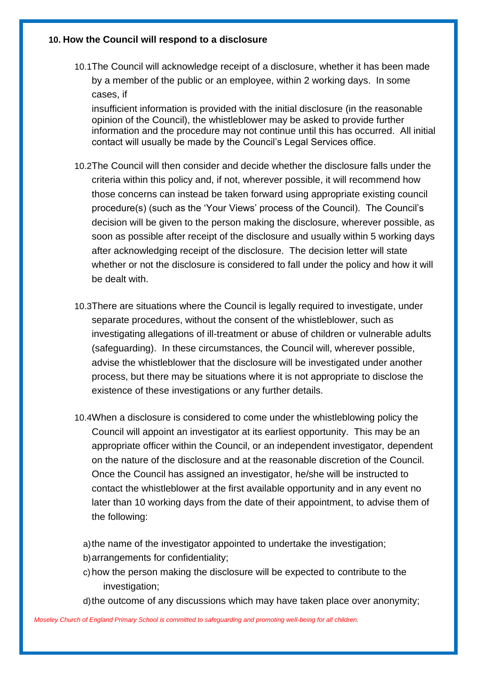#### **10. How the Council will respond to a disclosure**

10.1The Council will acknowledge receipt of a disclosure, whether it has been made by a member of the public or an employee, within 2 working days. In some cases, if

insufficient information is provided with the initial disclosure (in the reasonable opinion of the Council), the whistleblower may be asked to provide further information and the procedure may not continue until this has occurred. All initial contact will usually be made by the Council's Legal Services office.

- 10.2The Council will then consider and decide whether the disclosure falls under the criteria within this policy and, if not, wherever possible, it will recommend how those concerns can instead be taken forward using appropriate existing council procedure(s) (such as the 'Your Views' process of the Council). The Council's decision will be given to the person making the disclosure, wherever possible, as soon as possible after receipt of the disclosure and usually within 5 working days after acknowledging receipt of the disclosure. The decision letter will state whether or not the disclosure is considered to fall under the policy and how it will be dealt with.
- 10.3There are situations where the Council is legally required to investigate, under separate procedures, without the consent of the whistleblower, such as investigating allegations of ill-treatment or abuse of children or vulnerable adults (safeguarding). In these circumstances, the Council will, wherever possible, advise the whistleblower that the disclosure will be investigated under another process, but there may be situations where it is not appropriate to disclose the existence of these investigations or any further details.
- 10.4When a disclosure is considered to come under the whistleblowing policy the Council will appoint an investigator at its earliest opportunity. This may be an appropriate officer within the Council, or an independent investigator, dependent on the nature of the disclosure and at the reasonable discretion of the Council. Once the Council has assigned an investigator, he/she will be instructed to contact the whistleblower at the first available opportunity and in any event no later than 10 working days from the date of their appointment, to advise them of the following:

a)the name of the investigator appointed to undertake the investigation;

- b)arrangements for confidentiality;
- c) how the person making the disclosure will be expected to contribute to the investigation:
- d)the outcome of any discussions which may have taken place over anonymity;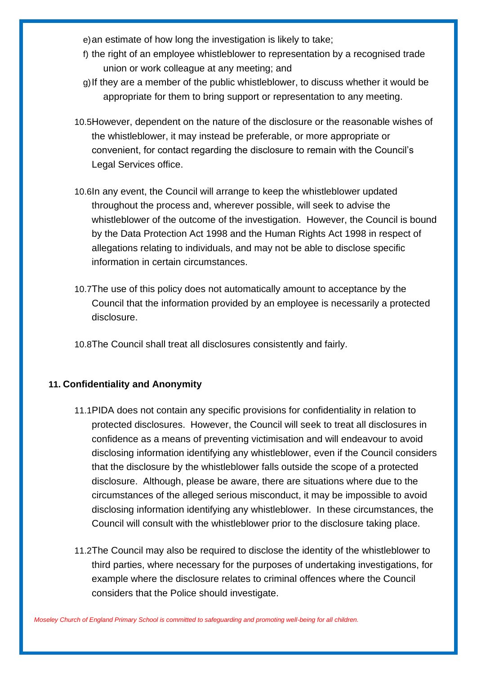e)an estimate of how long the investigation is likely to take;

- f) the right of an employee whistleblower to representation by a recognised trade union or work colleague at any meeting; and
- g)If they are a member of the public whistleblower, to discuss whether it would be appropriate for them to bring support or representation to any meeting.
- 10.5However, dependent on the nature of the disclosure or the reasonable wishes of the whistleblower, it may instead be preferable, or more appropriate or convenient, for contact regarding the disclosure to remain with the Council's Legal Services office.
- 10.6In any event, the Council will arrange to keep the whistleblower updated throughout the process and, wherever possible, will seek to advise the whistleblower of the outcome of the investigation. However, the Council is bound by the Data Protection Act 1998 and the Human Rights Act 1998 in respect of allegations relating to individuals, and may not be able to disclose specific information in certain circumstances.
- 10.7The use of this policy does not automatically amount to acceptance by the Council that the information provided by an employee is necessarily a protected disclosure.
- 10.8The Council shall treat all disclosures consistently and fairly.

## **11. Confidentiality and Anonymity**

- 11.1PIDA does not contain any specific provisions for confidentiality in relation to protected disclosures. However, the Council will seek to treat all disclosures in confidence as a means of preventing victimisation and will endeavour to avoid disclosing information identifying any whistleblower, even if the Council considers that the disclosure by the whistleblower falls outside the scope of a protected disclosure. Although, please be aware, there are situations where due to the circumstances of the alleged serious misconduct, it may be impossible to avoid disclosing information identifying any whistleblower. In these circumstances, the Council will consult with the whistleblower prior to the disclosure taking place.
- 11.2The Council may also be required to disclose the identity of the whistleblower to third parties, where necessary for the purposes of undertaking investigations, for example where the disclosure relates to criminal offences where the Council considers that the Police should investigate.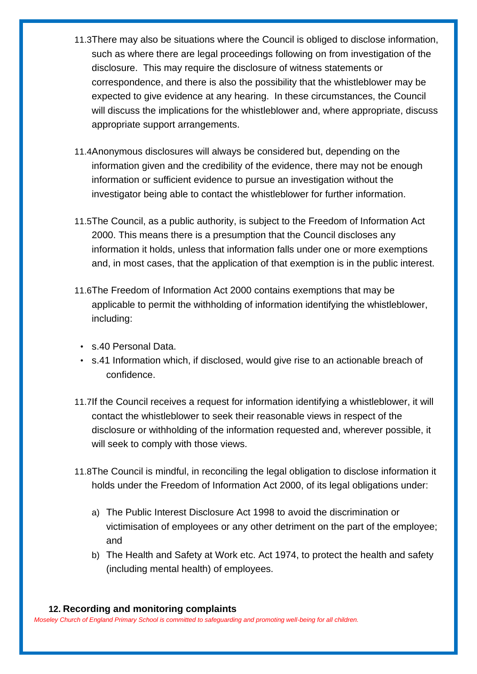- 11.3There may also be situations where the Council is obliged to disclose information, such as where there are legal proceedings following on from investigation of the disclosure. This may require the disclosure of witness statements or correspondence, and there is also the possibility that the whistleblower may be expected to give evidence at any hearing. In these circumstances, the Council will discuss the implications for the whistleblower and, where appropriate, discuss appropriate support arrangements.
- 11.4Anonymous disclosures will always be considered but, depending on the information given and the credibility of the evidence, there may not be enough information or sufficient evidence to pursue an investigation without the investigator being able to contact the whistleblower for further information.
- 11.5The Council, as a public authority, is subject to the Freedom of Information Act 2000. This means there is a presumption that the Council discloses any information it holds, unless that information falls under one or more exemptions and, in most cases, that the application of that exemption is in the public interest.
- 11.6The Freedom of Information Act 2000 contains exemptions that may be applicable to permit the withholding of information identifying the whistleblower, including:
	- s.40 Personal Data.
	- s.41 Information which, if disclosed, would give rise to an actionable breach of confidence.
- 11.7If the Council receives a request for information identifying a whistleblower, it will contact the whistleblower to seek their reasonable views in respect of the disclosure or withholding of the information requested and, wherever possible, it will seek to comply with those views.
- 11.8The Council is mindful, in reconciling the legal obligation to disclose information it holds under the Freedom of Information Act 2000, of its legal obligations under:
	- a) The Public Interest Disclosure Act 1998 to avoid the discrimination or victimisation of employees or any other detriment on the part of the employee; and
	- b) The Health and Safety at Work etc. Act 1974, to protect the health and safety (including mental health) of employees.

## **12. Recording and monitoring complaints**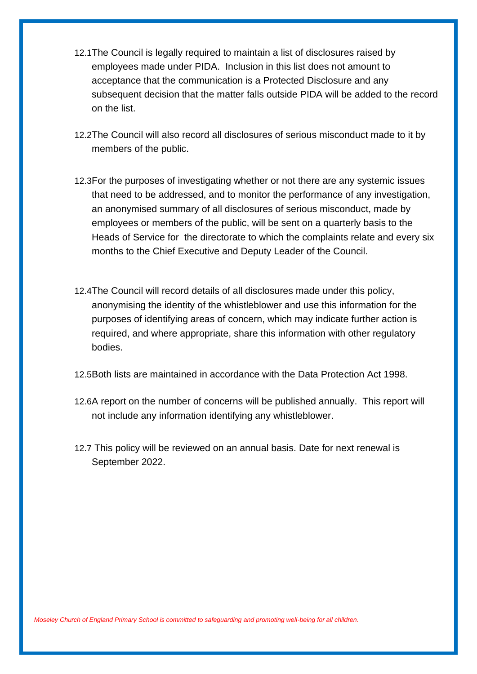- 12.1The Council is legally required to maintain a list of disclosures raised by employees made under PIDA. Inclusion in this list does not amount to acceptance that the communication is a Protected Disclosure and any subsequent decision that the matter falls outside PIDA will be added to the record on the list.
- 12.2The Council will also record all disclosures of serious misconduct made to it by members of the public.
- 12.3For the purposes of investigating whether or not there are any systemic issues that need to be addressed, and to monitor the performance of any investigation, an anonymised summary of all disclosures of serious misconduct, made by employees or members of the public, will be sent on a quarterly basis to the Heads of Service for the directorate to which the complaints relate and every six months to the Chief Executive and Deputy Leader of the Council.
- 12.4The Council will record details of all disclosures made under this policy, anonymising the identity of the whistleblower and use this information for the purposes of identifying areas of concern, which may indicate further action is required, and where appropriate, share this information with other regulatory bodies.
- 12.5Both lists are maintained in accordance with the Data Protection Act 1998.
- 12.6A report on the number of concerns will be published annually. This report will not include any information identifying any whistleblower.
- 12.7 This policy will be reviewed on an annual basis. Date for next renewal is September 2022.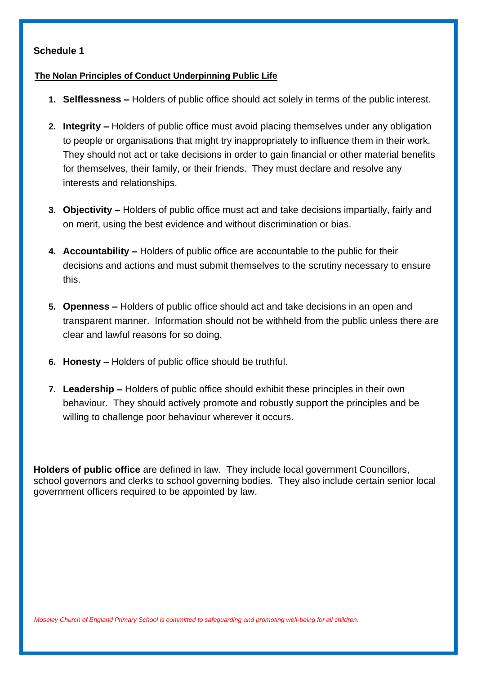## **Schedule 1**

#### **The Nolan Principles of Conduct Underpinning Public Life**

- **1. Selflessness –** Holders of public office should act solely in terms of the public interest.
- **2. Integrity –** Holders of public office must avoid placing themselves under any obligation to people or organisations that might try inappropriately to influence them in their work. They should not act or take decisions in order to gain financial or other material benefits for themselves, their family, or their friends. They must declare and resolve any interests and relationships.
- **3. Objectivity –** Holders of public office must act and take decisions impartially, fairly and on merit, using the best evidence and without discrimination or bias.
- **4. Accountability –** Holders of public office are accountable to the public for their decisions and actions and must submit themselves to the scrutiny necessary to ensure this.
- **5. Openness –** Holders of public office should act and take decisions in an open and transparent manner. Information should not be withheld from the public unless there are clear and lawful reasons for so doing.
- **6. Honesty –** Holders of public office should be truthful.
- **7. Leadership –** Holders of public office should exhibit these principles in their own behaviour. They should actively promote and robustly support the principles and be willing to challenge poor behaviour wherever it occurs.

**Holders of public office** are defined in law. They include local government Councillors, school governors and clerks to school governing bodies. They also include certain senior local government officers required to be appointed by law.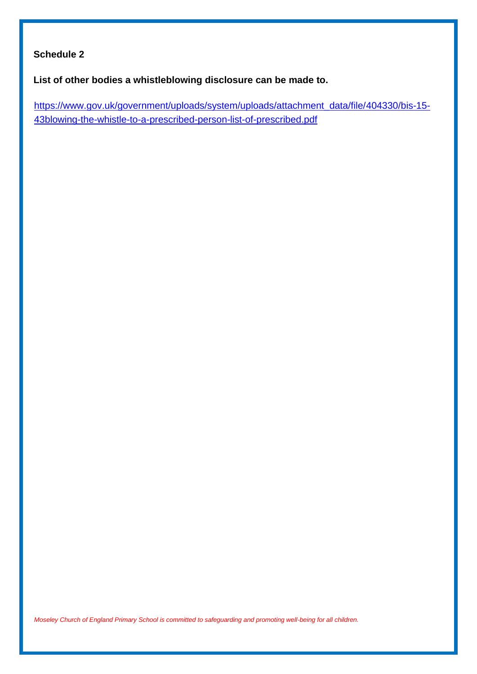## **Schedule 2**

**List of other bodies a whistleblowing disclosure can be made to.** 

[https://www.gov.uk/government/uploads/system/uploads/attachment\\_data/file/404330/bis-15-](https://www.gov.uk/government/uploads/system/uploads/attachment_data/file/360648/bis-14-1077-blowing-the-whistle-to-a-prescribed-person-the-prescribed-persons-list-v4.pdf) [43blowing-the-whistle-to-a-prescribed-person-list-of-prescribed.pdf](https://www.gov.uk/government/uploads/system/uploads/attachment_data/file/360648/bis-14-1077-blowing-the-whistle-to-a-prescribed-person-the-prescribed-persons-list-v4.pdf)